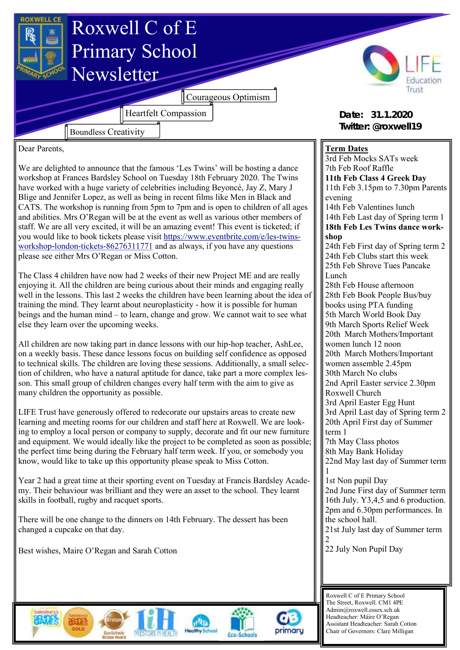

Dear Parents,

We are delighted to announce that the famous 'Les Twins' will be hosting a dance workshop at Frances Bardsley School on Tuesday 18th February 2020. The Twins have worked with a huge variety of celebrities including Beyoncé, Jay Z, Mary J Blige and Jennifer Lopez, as well as being in recent films like Men in Black and CATS. The workshop is running from 5pm to 7pm and is open to children of all ages and abilities. Mrs O'Regan will be at the event as well as various other members of staff. We are all very excited, it will be an amazing event! This event is ticketed; if you would like to book tickets please visit [https://www.eventbrite.com/e/les-twins](https://www.eventbrite.com/e/les-twins-workshop-london-tickets-86276311771)[workshop-london-tickets-86276311771](https://www.eventbrite.com/e/les-twins-workshop-london-tickets-86276311771) and as always, if you have any questions please see either Mrs O'Regan or Miss Cotton.

The Class 4 children have now had 2 weeks of their new Project ME and are really enjoying it. All the children are being curious about their minds and engaging really well in the lessons. This last 2 weeks the children have been learning about the idea of training the mind. They learnt about neuroplasticity - how it is possible for human beings and the human mind – to learn, change and grow. We cannot wait to see what else they learn over the upcoming weeks.

All children are now taking part in dance lessons with our hip-hop teacher, AshLee, on a weekly basis. These dance lessons focus on building self confidence as opposed to technical skills. The children are loving these sessions. Additionally, a small selection of children, who have a natural aptitude for dance, take part a more complex lesson. This small group of children changes every half term with the aim to give as many children the opportunity as possible.

LIFE Trust have generously offered to redecorate our upstairs areas to create new learning and meeting rooms for our children and staff here at Roxwell. We are looking to employ a local person or company to supply, decorate and fit our new furniture and equipment. We would ideally like the project to be completed as soon as possible; the perfect time being during the February half term week. If you, or somebody you know, would like to take up this opportunity please speak to Miss Cotton.

Year 2 had a great time at their sporting event on Tuesday at Francis Bardsley Academy. Their behaviour was brilliant and they were an asset to the school. They learnt skills in football, rugby and racquet sports.

There will be one change to the dinners on 14th February. The dessert has been changed a cupcake on that day.

Best wishes, Maire O'Regan and Sarah Cotton

## **Term Dates**

3rd Feb Mocks SATs week 7th Feb Roof Raffle **11th Feb Class 4 Greek Day** 11th Feb 3.15pm to 7.30pm Parents evening 14th Feb Valentines lunch 14th Feb Last day of Spring term 1 **18th Feb Les Twins dance workshop** 24th Feb First day of Spring term 2 24th Feb Clubs start this week 25th Feb Shrove Tues Pancake Lunch 28th Feb House afternoon 28th Feb Book People Bus/buy books using PTA funding 5th March World Book Day 9th March Sports Relief Week 20th March Mothers/Important women lunch 12 noon 20th March Mothers/Important women assemble 2.45pm 30th March No clubs 2nd April Easter service 2.30pm Roxwell Church 3rd April Easter Egg Hunt 3rd April Last day of Spring term 2 20th April First day of Summer term 1 7th May Class photos 8th May Bank Holiday 22nd May last day of Summer term 1 1st Non pupil Day 2nd June First day of Summer term 16th July. Y3,4,5 and 6 production. 2pm and 6.30pm performances. In the school hall. 21st July last day of Summer term 2 22 July Non Pupil Day







Roxwell C of E Primary School The Street, Roxwell. CM1 4PE Admin@roxwell.essex.sch.uk Headteacher: Máire O'Regan Assistant Headteacher: Sarah Cotton Chair of Governors: Clare Milligan